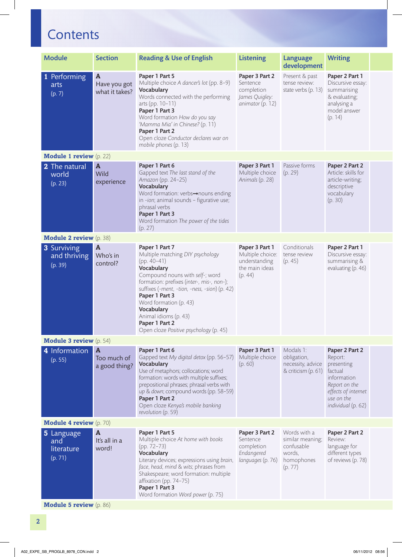## **Contents**

| <b>Module</b>                              | <b>Section</b>                                 | <b>Reading &amp; Use of English</b>                                                                                                                                                                                                                                                                                                                               | <b>Listening</b>                                                                 | Language<br>development                                                           | <b>Writing</b>                                                                                                                                |  |
|--------------------------------------------|------------------------------------------------|-------------------------------------------------------------------------------------------------------------------------------------------------------------------------------------------------------------------------------------------------------------------------------------------------------------------------------------------------------------------|----------------------------------------------------------------------------------|-----------------------------------------------------------------------------------|-----------------------------------------------------------------------------------------------------------------------------------------------|--|
| 1 Performing<br>arts<br>(p. 7)             | $\mathbf{A}$<br>Have you got<br>what it takes? | Paper 1 Part 5<br>Multiple choice A dancer's lot (pp. 8-9)<br>Vocabulary<br>Words connected with the performing<br>arts (pp. 10-11)<br>Paper 1 Part 3<br>Word formation How do you say<br>'Mamma Mia' in Chinese? (p. 11)<br>Paper 1 Part 2<br>Open cloze Conductor declares war on<br>mobile phones (p. 13)                                                      | Paper 3 Part 2<br>Sentence<br>completion<br>James Quigley:<br>animator (p. 12)   | Present & past<br>tense review:<br>state verbs (p. 13)                            | Paper 2 Part 1<br>Discursive essay:<br>summarising<br>& evaluating;<br>analysing a<br>model answer<br>(p. 14)                                 |  |
| <b>Module 1 review</b> (p. 22)             |                                                |                                                                                                                                                                                                                                                                                                                                                                   |                                                                                  |                                                                                   |                                                                                                                                               |  |
| 2 The natural<br>world<br>(p. 23)          | $\mathbf{A}$<br>Wild<br>experience             | Paper 1 Part 6<br>Gapped text The last stand of the<br>Amazon (pp. 24-25)<br>Vocabulary<br>Word formation: verbs-nouns ending<br>in -ion; animal sounds - figurative use;<br>phrasal verbs<br>Paper 1 Part 3<br>Word formation The power of the tides<br>(p. 27)                                                                                                  | Paper 3 Part 1<br>Multiple choice<br>Animals (p. 28)                             | Passive forms<br>(p. 29)                                                          | Paper 2 Part 2<br>Article: skills for<br>article-writing;<br>descriptive<br>vocabulary<br>(p. 30)                                             |  |
| <b>Module 2 review</b> (p. 38)             |                                                |                                                                                                                                                                                                                                                                                                                                                                   |                                                                                  |                                                                                   |                                                                                                                                               |  |
| 3 Surviving<br>and thriving<br>(p. 39)     | $\mathbf{A}$<br>Who's in<br>control?           | Paper 1 Part 7<br>Multiple matching DIY psychology<br>$(pp. 40-41)$<br>Vocabulary<br>Compound nouns with self-; word<br>formation: prefixes (inter-, mis-, non-);<br>suffixes (-ment, -tion, -ness, -sion) (p. 42)<br>Paper 1 Part 3<br>Word formation (p. 43)<br>Vocabulary<br>Animal idioms (p. 43)<br>Paper 1 Part 2<br>Open cloze Positive psychology (p. 45) | Paper 3 Part 1<br>Multiple choice:<br>understanding<br>the main ideas<br>(p. 44) | Conditionals<br>tense review<br>(p. 45)                                           | Paper 2 Part 1<br>Discursive essay:<br>summarising &<br>evaluating (p. 46)                                                                    |  |
| <b>Module 3 review</b> (p. 54)             |                                                |                                                                                                                                                                                                                                                                                                                                                                   |                                                                                  |                                                                                   |                                                                                                                                               |  |
| 4 Information A<br>(p. 55)                 | Too much of<br>a good thing?                   | Paper 1 Part 6<br>Gapped text My digital detox (pp. 56-57)<br>Vocabulary<br>Use of metaphors; collocations; word<br>formation: words with multiple suffixes;<br>prepositional phrases; phrasal verbs with<br>up & down; compound words (pp. 58-59)<br>Paper 1 Part 2<br>Open cloze Kenya's mobile banking<br>revolution (p. 59)                                   | Paper 3 Part 1<br>Multiple choice<br>(p. 60)                                     | Modals 1:<br>obligation,<br>necessity, advice<br>& criticism (p. 61)              | Paper 2 Part 2<br>Report:<br>presenting<br>factual<br>information<br>Report on the<br>effects of internet<br>use on the<br>individual (p. 62) |  |
| <b>Module 4 review</b> (p. 70)             |                                                |                                                                                                                                                                                                                                                                                                                                                                   |                                                                                  |                                                                                   |                                                                                                                                               |  |
| 5 Language<br>and<br>literature<br>(p. 71) | A<br>It's all in a<br>word!                    | Paper 1 Part 5<br>Multiple choice At home with books<br>$(pp. 72-73)$<br>Vocabulary<br>Literary devices; expressions using brain,<br>face, head, mind & wits; phrases from<br>Shakespeare; word formation: multiple<br>affixation (pp. 74-75)<br>Paper 1 Part 3<br>Word formation Word power (p. 75)                                                              | Paper 3 Part 2<br>Sentence<br>completion<br>Endangered<br>languages (p. 76)      | Words with a<br>similar meaning;<br>confusable<br>words,<br>homophones<br>(p. 77) | Paper 2 Part 2<br>Review:<br>language for<br>different types<br>of reviews (p. 78)                                                            |  |
| <b>Module 5 review</b> (p. 86)             |                                                |                                                                                                                                                                                                                                                                                                                                                                   |                                                                                  |                                                                                   |                                                                                                                                               |  |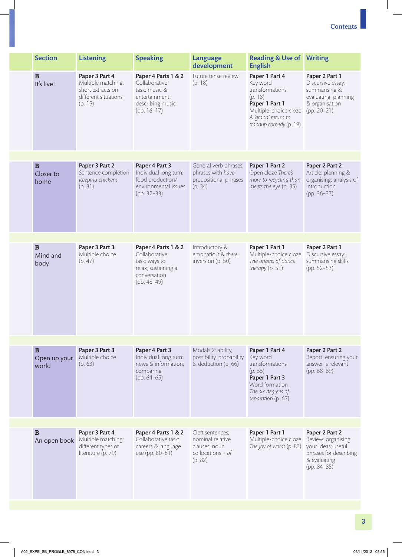| <b>Section</b>                        | <b>Listening</b>                                                                             | <b>Speaking</b>                                                                                              | <b>Language</b><br>development                                                          | <b>Reading &amp; Use of Writing</b><br><b>English</b>                                                                                                |                                                                                                                       |
|---------------------------------------|----------------------------------------------------------------------------------------------|--------------------------------------------------------------------------------------------------------------|-----------------------------------------------------------------------------------------|------------------------------------------------------------------------------------------------------------------------------------------------------|-----------------------------------------------------------------------------------------------------------------------|
| $\mathbf B$<br>It's live!             | Paper 3 Part 4<br>Multiple matching:<br>short extracts on<br>different situations<br>(p. 15) | Paper 4 Parts 1 & 2<br>Collaborative<br>task: music &<br>entertainment;<br>describing music<br>$(pp. 16-17)$ | Future tense review<br>(p. 18)                                                          | Paper 1 Part 4<br>Key word<br>transformations<br>(p. 18)<br>Paper 1 Part 1<br>Multiple-choice cloze<br>A 'grand' return to<br>standup comedy (p. 19) | Paper 2 Part 1<br>Discursive essay:<br>summarising &<br>evaluating; planning<br>& organisation<br>$(pp. 20-21)$       |
|                                       |                                                                                              |                                                                                                              |                                                                                         |                                                                                                                                                      |                                                                                                                       |
| $\mathbf B$<br>Closer to<br>home      | Paper 3 Part 2<br>Sentence completion<br>Keeping chickens<br>(p. 31)                         | Paper 4 Part 3<br>Individual long turn:<br>food production/<br>environmental issues<br>(pp. 32-33)           | General verb phrases;<br>phrases with have;<br>prepositional phrases<br>(p. 34)         | Paper 1 Part 2<br>Open cloze There's<br>more to recycling than<br>meets the eye (p. 35)                                                              | Paper 2 Part 2<br>Article: planning &<br>organising; analysis of<br>introduction<br>$(pp. 36-37)$                     |
| $\mathbf B$                           | Paper 3 Part 3                                                                               | Paper 4 Parts 1 & 2                                                                                          | Introductory &                                                                          | Paper 1 Part 1                                                                                                                                       | Paper 2 Part 1                                                                                                        |
| Mind and<br>body                      | Multiple choice<br>(p. 47)                                                                   | Collaborative<br>task: ways to<br>relax; sustaining a<br>conversation<br>$(pp. 48-49)$                       | emphatic it & there;<br>inversion (p. 50)                                               | Multiple-choice cloze<br>The origins of dance<br>therapy $(p. 51)$                                                                                   | Discursive essay:<br>summarising skills<br>$(pp. 52-53)$                                                              |
|                                       |                                                                                              |                                                                                                              |                                                                                         |                                                                                                                                                      |                                                                                                                       |
| $\, {\bf B}$<br>Open up your<br>world | Paper 3 Part 3<br>Multiple choice<br>(p. 63)                                                 | Paper 4 Part 3<br>Individual long turn:<br>news & information;<br>comparing<br>$(pp. 64-65)$                 | Modals 2: ability,<br>possibility, probability<br>& deduction (p. 66)                   | Paper 1 Part 4<br>Key word<br>transformations<br>(p.66)<br>Paper 1 Part 3<br>Word formation<br>The six degrees of<br>separation (p. 67)              | Paper 2 Part 2<br>Report: ensuring your<br>answer is relevant<br>$(pp. 68-69)$                                        |
|                                       |                                                                                              |                                                                                                              |                                                                                         |                                                                                                                                                      |                                                                                                                       |
| $\mathbf B$<br>An open book           | Paper 3 Part 4<br>Multiple matching:<br>different types of<br>literature (p. 79)             | Paper 4 Parts 1 & 2<br>Collaborative task:<br>careers & language<br>use (pp. 80-81)                          | Cleft sentences;<br>nominal relative<br>clauses; noun<br>collocations + $of$<br>(p. 82) | Paper 1 Part 1<br>Multiple-choice cloze<br>The joy of words (p. 83)                                                                                  | Paper 2 Part 2<br>Review: organising<br>your ideas; useful<br>phrases for describing<br>& evaluating<br>$(pp. 84-85)$ |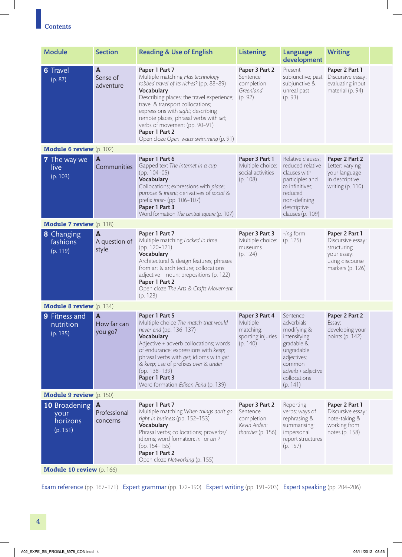## **Contents**

| <b>Module</b>                                                 | <b>Section</b>                         | <b>Reading &amp; Use of English</b>                                                                                                                                                                                                                                                                                                                                        | <b>Listening</b>                                                              | Language<br>development                                                                                                                                       | <b>Writing</b>                                                                                           |  |
|---------------------------------------------------------------|----------------------------------------|----------------------------------------------------------------------------------------------------------------------------------------------------------------------------------------------------------------------------------------------------------------------------------------------------------------------------------------------------------------------------|-------------------------------------------------------------------------------|---------------------------------------------------------------------------------------------------------------------------------------------------------------|----------------------------------------------------------------------------------------------------------|--|
| <b>6</b> Travel<br>(p. 87)                                    | $\mathbf{A}$<br>Sense of<br>adventure  | Paper 1 Part 7<br>Multiple matching Has technology<br>robbed travel of its riches? (pp. 88-89)<br>Vocabulary<br>Describing places; the travel experience;<br>travel & transport collocations;<br>expressions with sight; describing<br>remote places; phrasal verbs with set;<br>verbs of movement (pp. 90-91)<br>Paper 1 Part 2<br>Open cloze Open-water swimming (p. 91) | Paper 3 Part 2<br>Sentence<br>completion<br>Greenland<br>(p. 92)              | Present<br>subjunctive; past<br>subjunctive &<br>unreal past<br>(p. 93)                                                                                       | Paper 2 Part 1<br>Discursive essay:<br>evaluating input<br>material (p. 94)                              |  |
| <b>Module 6 review</b> (p. 102)                               |                                        |                                                                                                                                                                                                                                                                                                                                                                            |                                                                               |                                                                                                                                                               |                                                                                                          |  |
| <b>7</b> The way we<br>live<br>(p. 103)                       | $\overline{A}$<br>Communities          | Paper 1 Part 6<br>Gapped text The internet in a cup<br>$(pp. 104-05)$<br>Vocabulary<br>Collocations; expressions with place;<br>purpose & intent; derivatives of social &<br>prefix inter- (pp. 106-107)<br>Paper 1 Part 3<br>Word formation The central square (p. 107)                                                                                                   | Paper 3 Part 1<br>Multiple choice:<br>social activities<br>(p. 108)           | Relative clauses;<br>reduced relative<br>clauses with<br>participles and<br>to infinitives;<br>reduced<br>non-defining<br>descriptive<br>clauses (p. 109)     | Paper 2 Part 2<br>Letter: varying<br>your language<br>in descriptive<br>writing (p. 110)                 |  |
| <b>Module 7 review</b> (p. 118)                               |                                        |                                                                                                                                                                                                                                                                                                                                                                            |                                                                               |                                                                                                                                                               |                                                                                                          |  |
| <b>8</b> Changing<br>fashions<br>(p. 119)                     | $\mathbf{A}$<br>A question of<br>style | Paper 1 Part 7<br>Multiple matching Locked in time<br>$(pp. 120-121)$<br>Vocabulary<br>Architectural & design features; phrases<br>from art & architecture; collocations:<br>adjective + noun; prepositions (p. 122)<br>Paper 1 Part 2<br>Open cloze The Arts & Crafts Movement<br>(p. 123)                                                                                | Paper 3 Part 3<br>Multiple choice:<br>museums<br>(p. 124)                     | -ing form<br>(p. 125)                                                                                                                                         | Paper 2 Part 1<br>Discursive essay:<br>structuring<br>your essay:<br>using discourse<br>markers (p. 126) |  |
| <b>Module 8 review</b> (p. 134)                               |                                        |                                                                                                                                                                                                                                                                                                                                                                            |                                                                               |                                                                                                                                                               |                                                                                                          |  |
| 9 Fitness and<br>nutrition<br>(p. 135)                        | $\mathbf{A}$<br>How far can<br>you go? | Paper 1 Part 5<br>Multiple choice The match that would<br>never end (pp. 136-137)<br>Vocabulary<br>Adjective + adverb collocations; words<br>of endurance; expressions with keep;<br>phrasal verbs with get; idioms with get<br>& keep; use of prefixes over & under<br>(pp. 138-139)<br>Paper 1 Part 3<br>Word formation Edison Peña (p. 139)                             | Paper 3 Part 4<br>Multiple<br>matching:<br>sporting injuries<br>(p. 140)      | Sentence<br>adverbials;<br>modifying &<br>intensifying<br>gradable &<br>ungradable<br>adjectives;<br>common<br>adverb + adjective<br>collocations<br>(p. 141) | Paper 2 Part 2<br>Essay:<br>developing your<br>points (p. 142)                                           |  |
| <b>Module 9 review</b> (p. 150)                               |                                        |                                                                                                                                                                                                                                                                                                                                                                            |                                                                               |                                                                                                                                                               |                                                                                                          |  |
| <b>10</b> Broadening <b>A</b><br>your<br>horizons<br>(p. 151) | Professional<br>concerns               | Paper 1 Part 7<br>Multiple matching When things don't go<br>right in business (pp. 152-153)<br>Vocabulary<br>Phrasal verbs; collocations; proverbs/<br>idioms; word formation: in- or un-?<br>$(pp. 154-155)$<br>Paper 1 Part 2<br>Open cloze Networking (p. 155)                                                                                                          | Paper 3 Part 2<br>Sentence<br>completion<br>Kevin Arden:<br>thatcher (p. 156) | Reporting<br>verbs; ways of<br>rephrasing &<br>summarising;<br>impersonal<br>report structures<br>(p. 157)                                                    | Paper 2 Part 1<br>Discursive essay:<br>note-taking &<br>working from<br>notes (p. 158)                   |  |
| Module 10 review (p. 166)                                     |                                        |                                                                                                                                                                                                                                                                                                                                                                            |                                                                               |                                                                                                                                                               |                                                                                                          |  |

Exam reference (pp. 167–171) Expert grammar (pp. 172–190) Expert writing (pp. 191–203) Expert speaking (pp. 204–206)